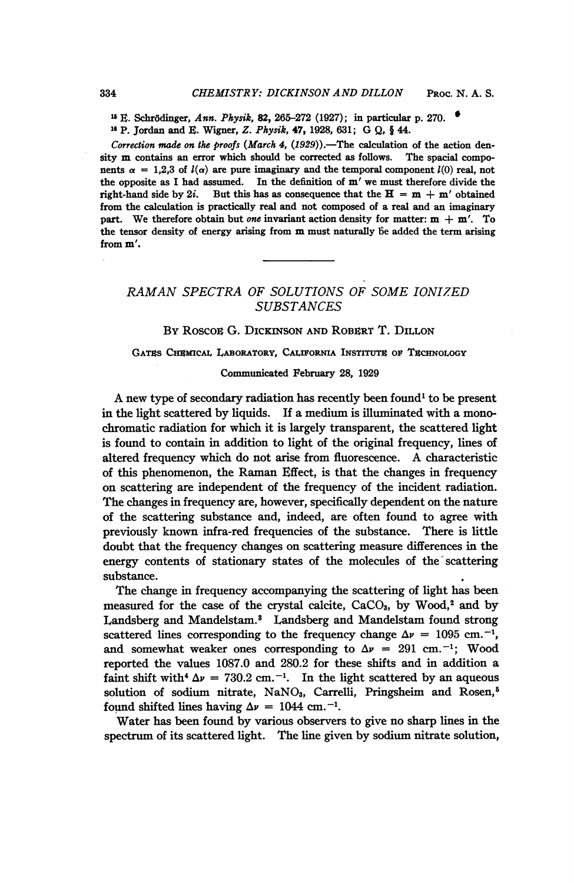<sup>15</sup> E. Schrödinger, Ann. Physik, 82, 265-272 (1927); in particular p. 270. i6 P. Jordan and E. Wigner, Z. Physik, 47, 1928, 631; G Q, § 44.

Correction made on the proofs (March 4,  $(1929)$ ).—The calculation of the action density m contains an error which should be corrected as follows. The spacial components  $\alpha = 1.2.3$  of  $l(\alpha)$  are pure imaginary and the temporal component  $l(0)$  real, not the opposite as <sup>I</sup> had assumed. In the definition of m' we must therefore divide the right-hand side by 2i. But this has as consequence that the  $H = m + m'$  obtained from the calculation is practically real and not composed of a real and an imaginary part. We therefore obtain but one invariant action density for matter:  $m + m'$ . To the tensor density of energy arising from m must naturally be added the term arising from m'.

# RAMAN SPECTRA OF SOLUTIONS OF SOME IONIZED **SUBSTANCES**

## BY ROSCOE G. DICKINSON AND ROBERT T. DILLON

## GATES CHEMICAL LABORATORY, CALIFORNIA INSTITUTE OF TECHNOLOGY

## Communicated February 28, 1929

A new type of secondary radiation has recently been found' to be present in the light scattered by liquids. If a medium is illuminated with a monochromatic radiation for which it is largely transparent, the scattered light is found to contain in addition to light of the original frequency, lines of altered frequency which do not arise from fluorescence. A characteristic of this phenomenon, the Raman Effect, is that the changes in frequency on scattering are independent of the frequency of the incident radiation. The changes in frequency are, however, specifically dependent on the nature of the scattering substance and, indeed, are often found to agree with previously known infra-red frequencies of the substance. There is little doubt that the frequency changes on scattering measure differences in the energy contents of stationary states of the molecules of the scattering substance.

The change in frequency accompanying the scattering of light has been measured for the case of the crystal calcite,  $CaCO<sub>3</sub>$ , by Wood,<sup>2</sup> and by Landsberg and Mandelstam.8 Landsberg and Mandelstam found strong scattered lines corresponding to the frequency change  $\Delta \nu = 1095$  cm.<sup>-1</sup>, and somewhat weaker ones corresponding to  $\Delta \nu = 291$  cm.<sup>-1</sup>; Wood reported the values 1087.0 and 280.2 for these shifts and in addition a faint shift with<sup>4</sup>  $\Delta \nu$  = 730.2 cm.<sup>-1</sup>. In the light scattered by an aqueous solution of sodium nitrate,  $NaNO<sub>3</sub>$ , Carrelli, Pringsheim and Rosen,<sup>5</sup> found shifted lines having  $\Delta \nu = 1044$  cm.<sup>-1</sup>.

Water has been found by various observers to give no sharp lines in the spectrum of its scattered light. The line given by sodium nitrate solution,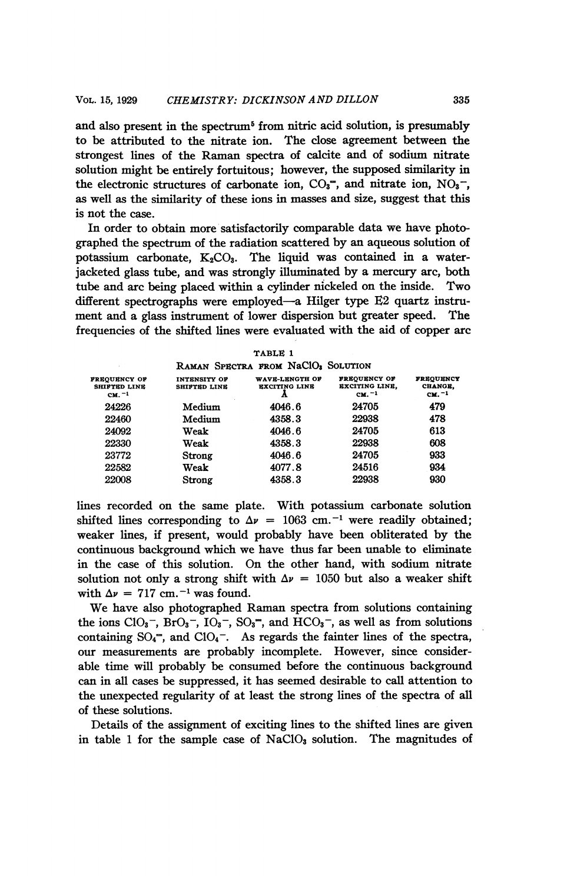and also present in the spectrum<sup>5</sup> from nitric acid solution, is presumably to be attributed to the nitrate ion. The close agreement between the strongest lines of the Raman spectra of calcite and of sodium nitrate solution might be entirely fortuitous; however, the supposed similarity in the electronic structures of carbonate ion,  $CO_3^-$ , and nitrate ion,  $NO_3^-$ , as well as the similarity of these ions in masses and size, suggest that this is not the case.

In order to obtain more satisfactorily comparable data we have photographed the spectrum of the radiation scattered by an aqueous solution of potassium carbonate.  $K_2CO_3$ . The liquid was contained in a waterjacketed glass tube, and was strongly illuminated by a mercury arc, both tube and arc being placed within a cylinder nickeled on the inside. Two different spectrographs were employed-a Hilger type E2 quartz instrument and a glass instrument of lower dispersion but greater speed. The frequencies of the shifted lines were evaluated with the aid of copper arc

|                                                        |                                     | TABLE 1                                        |                                                          |                                                  |
|--------------------------------------------------------|-------------------------------------|------------------------------------------------|----------------------------------------------------------|--------------------------------------------------|
|                                                        |                                     | RAMAN SPECTRA FROM NaCIO <sub>3</sub> SOLUTION |                                                          |                                                  |
| <b>FREOUENCY OF</b><br><b>SHIFTED LINE</b><br>$CM. -1$ | INTENSITY OF<br><b>SHIFTED LINE</b> | WAVE-LENGTH OF<br><b>EXCITING LINE</b>         | <b>FREOUENCY OF</b><br><b>EXCITING LINE.</b><br>$CM. -1$ | <b>FREOUENCY</b><br>CHANGE.<br>CM. <sup>-1</sup> |
| 24226                                                  | Medium                              | 4046.6                                         | 24705                                                    | 479                                              |
| 22460                                                  | Medium                              | 4358.3                                         | 22938                                                    | 478                                              |
| 24092                                                  | Weak                                | 4046.6                                         | 24705                                                    | 613                                              |
| 22330                                                  | Weak                                | 4358.3                                         | 22938                                                    | 608                                              |
| 23772                                                  | Strong                              | 4046.6                                         | 24705                                                    | 933                                              |
| 22582                                                  | Weak                                | 4077.8                                         | 24516                                                    | 934                                              |
| 22008                                                  | Strong                              | 4358.3                                         | 22938                                                    | 930                                              |

lines recorded on the same plate. With potassium carbonate solution shifted lines corresponding to  $\Delta \nu = 1063$  cm.<sup>-1</sup> were readily obtained; weaker lines, if present, would probably have been obliterated by the continuous background which we have thus far been unable to eliminate in the case of this solution. On the other hand, with sodium nitrate solution not only a strong shift with  $\Delta v = 1050$  but also a weaker shift with  $\Delta \nu = 717$  cm.<sup>-1</sup> was found.

We have also photographed Raman spectra from solutions containing the ions  $ClO_3^-$ ,  $BrO_3^-$ ,  $IO_3^-$ ,  $SO_3^-$ , and  $HCO_3^-$ , as well as from solutions containing  $SO_4^-$ , and  $ClO_4^-$ . As regards the fainter lines of the spectra, our measurements are probably incomplete. However, since considerable time will probably be consumed before the continuous background can in all cases be suppressed, it has seemed desirable to call attention to the unexpected regularity of at least the strong lines of the spectra of all of these solutions.

Details of the assignment of exciting lines to the shifted lines are given in table 1 for the sample case of  $NaClO<sub>3</sub>$  solution. The magnitudes of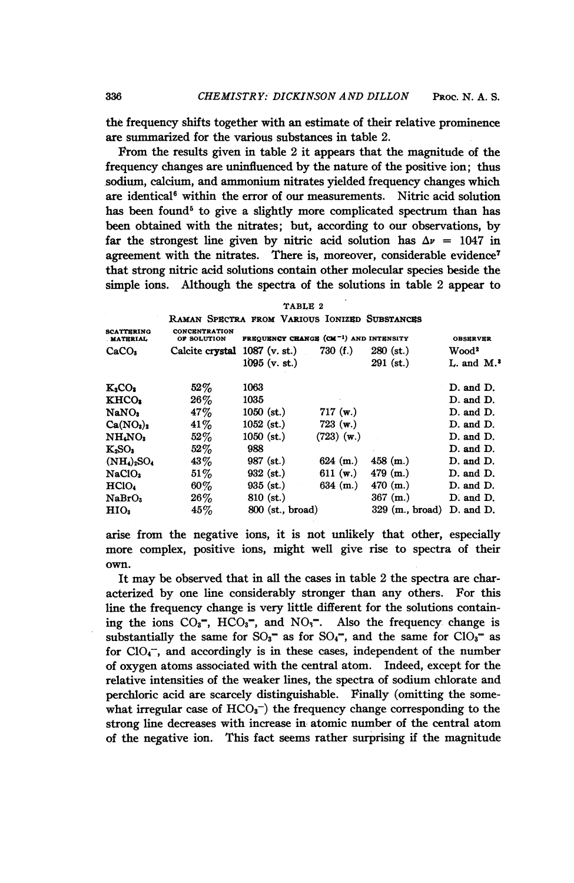the frequency shifts together with an estimate of their relative prominence are summarized for the various substances in table 2.

From the results given in table 2 it appears that the magnitude of the frequency changes are uninfluenced by the nature of the positive ion; thus sodium, calcium, and ammonium nitrates yielded frequency changes which are identical<sup>6</sup> within the error of our measurements. Nitric acid solution has been found<sup>5</sup> to give a slightly more complicated spectrum than has been obtained with the nitrates; but, according to our observations, by far the strongest line given by nitric acid solution has  $\Delta \nu = 1047$  in agreement with the nitrates. There is, moreover, considerable evidence<sup>7</sup> that strong nitric acid solutions contain other molecular species beside the simple ions. Although the spectra of the solutions in table 2 appear to

| TABLE 2 |  |  |
|---------|--|--|
|---------|--|--|

| RAMAN SPECTRA FROM VARIOUS IONIZED SUBSTANCES |  |  |
|-----------------------------------------------|--|--|
|                                               |  |  |

| <b>SCATTERING</b><br>MATERIAL     | <b>CONCENTRATION</b><br>OF SOLUTION | <b>FREQUENCY CHANGE (CM<sup>-1</sup>) AND INTENSITY</b><br><b>OBSERVER</b> |              |                                    |                         |  |  |
|-----------------------------------|-------------------------------------|----------------------------------------------------------------------------|--------------|------------------------------------|-------------------------|--|--|
| CaCO <sub>s</sub>                 | Calcite crystal                     | $1087$ (v. st.)                                                            | 730(f.)      | $280$ (st.)                        | Wood <sup>2</sup>       |  |  |
|                                   |                                     | $1095$ (v. st.)                                                            |              | $291$ (st.)                        | L. and $M$ <sup>3</sup> |  |  |
| $K_2CO_2$                         | $52\%$                              | 1063                                                                       |              |                                    | D. and D.               |  |  |
| KHCO <sub>2</sub>                 | $26\%$                              | 1035                                                                       |              |                                    | D. and D.               |  |  |
| NaNO <sub>2</sub>                 | 47%                                 | $1050$ (st.)                                                               | 717(w.)      |                                    | D. and D.               |  |  |
| Ca(NO <sub>3</sub> ) <sub>2</sub> | $41\%$                              | $1052$ (st.)                                                               | $723$ (w.)   |                                    | D. and D.               |  |  |
| NH <sub>4</sub> NO <sub>3</sub>   | $52\%$                              | $1050$ (st.)                                                               | $(723)$ (w.) |                                    | D. and D.               |  |  |
| $K_2SO_3$                         | $52\%$                              | 988                                                                        |              |                                    | D. and D.               |  |  |
| $(NH_4)_2SO_4$                    | $43\%$                              | $987$ (st.)                                                                | $624$ (m.)   | $458$ (m.)                         | D. and D.               |  |  |
| NaClO <sub>3</sub>                | $51\%$                              | $932$ (st.)                                                                | 611 (w.)     | $479$ (m.)                         | D. and D.               |  |  |
| HClO <sub>4</sub>                 | $60\%$                              | $935$ (st.)                                                                | $634$ (m.)   | 470 (m.)                           | D. and D.               |  |  |
| NaBrO <sub>3</sub>                | $26\%$                              | $810$ (st.)                                                                |              | $367$ (m.)                         | $D.$ and $D.$           |  |  |
| HIO <sub>3</sub>                  | 45%                                 | $800$ (st., broad)                                                         |              | $329 \; (\text{m.}, \text{broad})$ | D. and D.               |  |  |

arise from the negative ions, it is not unlikely that other, especially more complex, positive ions, might well give rise to spectra of their own.

It may be observed that in all the cases in table <sup>2</sup> the spectra are characterized by one line considerably stronger than any others. For this line the frequency change is very little different for the solutions containing the ions  $CO_3^-$ ,  $HCO_3^-$ , and  $NO_3^-$ . Also the frequency change is substantially the same for  $SO_3^-$  as for  $SO_4^-$ , and the same for  $ClO_3^-$  as for  $ClO<sub>4</sub>$ , and accordingly is in these cases, independent of the number of oxygen atoms associated with the central atom. Indeed, except for the relative intensities of the weaker lines, the spectra of sodium chlorate and perchloric acid are scarcely distinguishable. Finally (omitting the somewhat irregular case of  $HCO<sub>3</sub><sup>-</sup>$ ) the frequency change corresponding to the strong line decreases with increase in atomic number of the central atom of the negative ion. This fact seems rather surprising if the magnitude